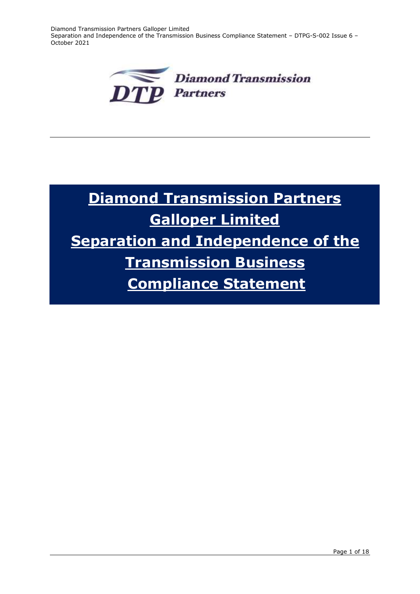Diamond Transmission Partners Galloper Limited Separation and Independence of the Transmission Business Compliance Statement – DTPG-S-002 Issue 6 – October 2021



# **Diamond Transmission Partners Galloper Limited Separation and Independence of the Transmission Business Compliance Statement**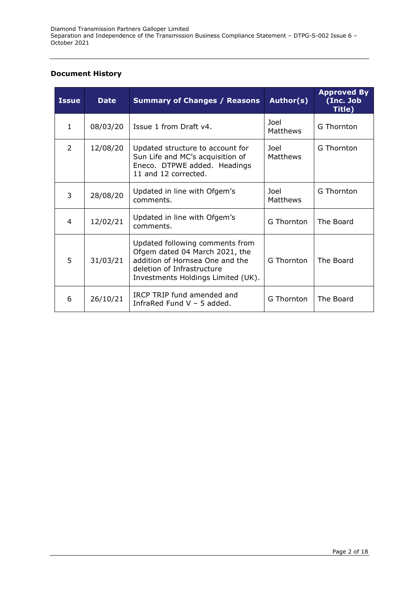#### **Document History**

| <b>Issue</b> | <b>Date</b> | <b>Summary of Changes / Reasons</b>                                                                                                                                      | Author(s)        | <b>Approved By</b><br>(Inc. Job<br>Title) |
|--------------|-------------|--------------------------------------------------------------------------------------------------------------------------------------------------------------------------|------------------|-------------------------------------------|
| $\mathbf{1}$ | 08/03/20    | Issue 1 from Draft v4.                                                                                                                                                   | Joel<br>Matthews | G Thornton                                |
| 2            | 12/08/20    | Updated structure to account for<br>Sun Life and MC's acquisition of<br>Eneco. DTPWE added. Headings<br>11 and 12 corrected.                                             | Joel<br>Matthews | G Thornton                                |
| 3            | 28/08/20    | Updated in line with Ofgem's<br>comments.                                                                                                                                | Joel<br>Matthews | G Thornton                                |
| 4            | 12/02/21    | Updated in line with Ofgem's<br>comments.                                                                                                                                | G Thornton       | The Board                                 |
| 5            | 31/03/21    | Updated following comments from<br>Ofgem dated 04 March 2021, the<br>addition of Hornsea One and the<br>deletion of Infrastructure<br>Investments Holdings Limited (UK). | G Thornton       | The Board                                 |
| 6            | 26/10/21    | IRCP TRIP fund amended and<br>InfraRed Fund $V - 5$ added.                                                                                                               | G Thornton       | The Board                                 |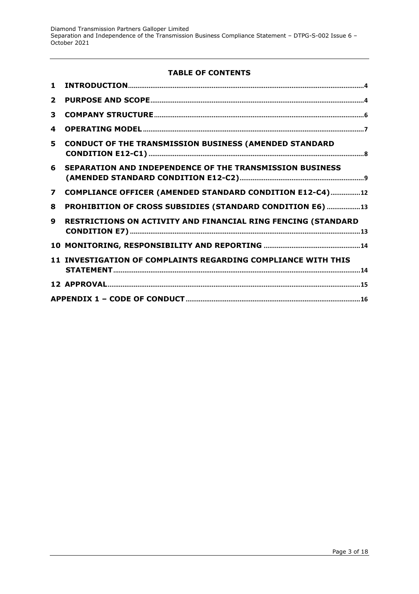## **TABLE OF CONTENTS**

| $\mathbf{1}$            |                                                               |
|-------------------------|---------------------------------------------------------------|
| $\overline{2}$          |                                                               |
| 3                       |                                                               |
| 4                       |                                                               |
| 5.                      | <b>CONDUCT OF THE TRANSMISSION BUSINESS (AMENDED STANDARD</b> |
| 6                       | SEPARATION AND INDEPENDENCE OF THE TRANSMISSION BUSINESS      |
| $\overline{\mathbf{z}}$ | COMPLIANCE OFFICER (AMENDED STANDARD CONDITION E12-C4)12      |
| 8                       | PROHIBITION OF CROSS SUBSIDIES (STANDARD CONDITION E6) 13     |
| q                       | RESTRICTIONS ON ACTIVITY AND FINANCIAL RING FENCING (STANDARD |
|                         |                                                               |
|                         | 11 INVESTIGATION OF COMPLAINTS REGARDING COMPLIANCE WITH THIS |
|                         |                                                               |
|                         |                                                               |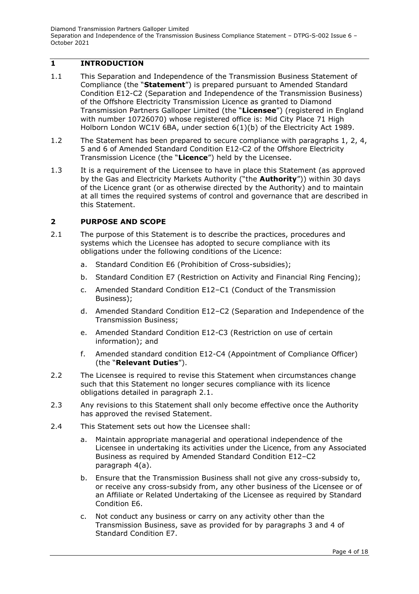# <span id="page-3-0"></span>**1 INTRODUCTION**

- 1.1 This Separation and Independence of the Transmission Business Statement of Compliance (the "**Statement**") is prepared pursuant to Amended Standard Condition E12-C2 (Separation and Independence of the Transmission Business) of the Offshore Electricity Transmission Licence as granted to Diamond Transmission Partners Galloper Limited (the "**Licensee**") (registered in England with number 10726070) whose registered office is: Mid City Place 71 High Holborn London WC1V 6BA, under section 6(1)(b) of the Electricity Act 1989.
- 1.2 The Statement has been prepared to secure compliance with paragraphs 1, 2, 4, 5 and 6 of Amended Standard Condition E12-C2 of the Offshore Electricity Transmission Licence (the "**Licence**") held by the Licensee.
- 1.3 It is a requirement of the Licensee to have in place this Statement (as approved by the Gas and Electricity Markets Authority ("the **Authority**")) within 30 days of the Licence grant (or as otherwise directed by the Authority) and to maintain at all times the required systems of control and governance that are described in this Statement.

## <span id="page-3-1"></span>**2 PURPOSE AND SCOPE**

- 2.1 The purpose of this Statement is to describe the practices, procedures and systems which the Licensee has adopted to secure compliance with its obligations under the following conditions of the Licence:
	- a. Standard Condition E6 (Prohibition of Cross-subsidies);
	- b. Standard Condition E7 (Restriction on Activity and Financial Ring Fencing);
	- c. Amended Standard Condition E12–C1 (Conduct of the Transmission Business);
	- d. Amended Standard Condition E12–C2 (Separation and Independence of the Transmission Business;
	- e. Amended Standard Condition E12-C3 (Restriction on use of certain information); and
	- f. Amended standard condition E12-C4 (Appointment of Compliance Officer) (the "**Relevant Duties**").
- 2.2 The Licensee is required to revise this Statement when circumstances change such that this Statement no longer secures compliance with its licence obligations detailed in paragraph 2.1.
- 2.3 Any revisions to this Statement shall only become effective once the Authority has approved the revised Statement.
- 2.4 This Statement sets out how the Licensee shall:
	- a. Maintain appropriate managerial and operational independence of the Licensee in undertaking its activities under the Licence, from any Associated Business as required by Amended Standard Condition E12–C2 paragraph 4(a).
	- b. Ensure that the Transmission Business shall not give any cross-subsidy to, or receive any cross-subsidy from, any other business of the Licensee or of an Affiliate or Related Undertaking of the Licensee as required by Standard Condition E6.
	- c. Not conduct any business or carry on any activity other than the Transmission Business, save as provided for by paragraphs 3 and 4 of Standard Condition E7.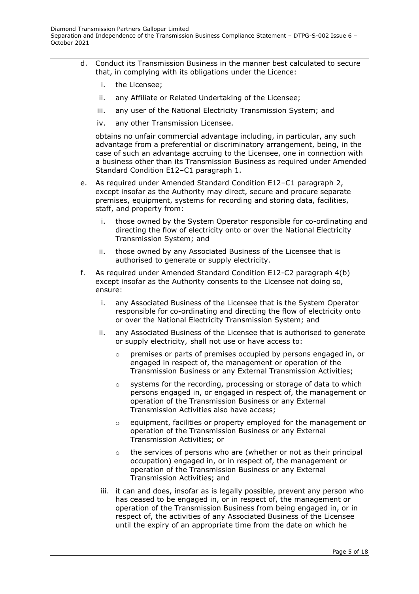- d. Conduct its Transmission Business in the manner best calculated to secure that, in complying with its obligations under the Licence:
	- i. the Licensee;
	- ii. any Affiliate or Related Undertaking of the Licensee;
	- iii. any user of the National Electricity Transmission System; and
	- iv. any other Transmission Licensee.

obtains no unfair commercial advantage including, in particular, any such advantage from a preferential or discriminatory arrangement, being, in the case of such an advantage accruing to the Licensee, one in connection with a business other than its Transmission Business as required under Amended Standard Condition E12–C1 paragraph 1.

- e. As required under Amended Standard Condition E12–C1 paragraph 2, except insofar as the Authority may direct, secure and procure separate premises, equipment, systems for recording and storing data, facilities, staff, and property from:
	- i. those owned by the System Operator responsible for co-ordinating and directing the flow of electricity onto or over the National Electricity Transmission System; and
	- ii. those owned by any Associated Business of the Licensee that is authorised to generate or supply electricity.
- f. As required under Amended Standard Condition E12-C2 paragraph 4(b) except insofar as the Authority consents to the Licensee not doing so, ensure:
	- i. any Associated Business of the Licensee that is the System Operator responsible for co-ordinating and directing the flow of electricity onto or over the National Electricity Transmission System; and
	- ii. any Associated Business of the Licensee that is authorised to generate or supply electricity, shall not use or have access to:
		- $\circ$  premises or parts of premises occupied by persons engaged in, or engaged in respect of, the management or operation of the Transmission Business or any External Transmission Activities;
		- o systems for the recording, processing or storage of data to which persons engaged in, or engaged in respect of, the management or operation of the Transmission Business or any External Transmission Activities also have access;
		- o equipment, facilities or property employed for the management or operation of the Transmission Business or any External Transmission Activities; or
		- o the services of persons who are (whether or not as their principal occupation) engaged in, or in respect of, the management or operation of the Transmission Business or any External Transmission Activities; and
	- iii. it can and does, insofar as is legally possible, prevent any person who has ceased to be engaged in, or in respect of, the management or operation of the Transmission Business from being engaged in, or in respect of, the activities of any Associated Business of the Licensee until the expiry of an appropriate time from the date on which he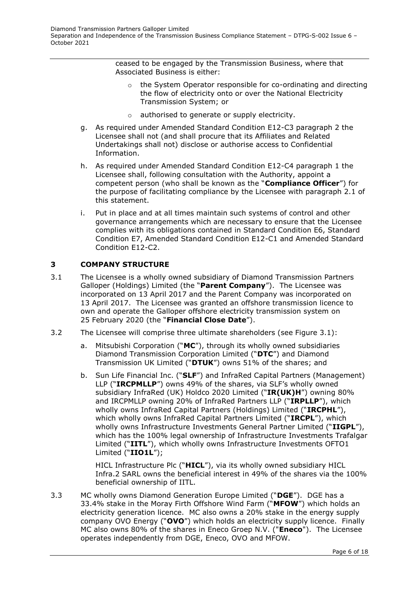ceased to be engaged by the Transmission Business, where that Associated Business is either:

- the System Operator responsible for co-ordinating and directing the flow of electricity onto or over the National Electricity Transmission System; or
- o authorised to generate or supply electricity.
- g. As required under Amended Standard Condition E12-C3 paragraph 2 the Licensee shall not (and shall procure that its Affiliates and Related Undertakings shall not) disclose or authorise access to Confidential Information.
- h. As required under Amended Standard Condition E12-C4 paragraph 1 the Licensee shall, following consultation with the Authority, appoint a competent person (who shall be known as the "**Compliance Officer**") for the purpose of facilitating compliance by the Licensee with paragraph 2.1 of this statement.
- i. Put in place and at all times maintain such systems of control and other governance arrangements which are necessary to ensure that the Licensee complies with its obligations contained in Standard Condition E6, Standard Condition E7, Amended Standard Condition E12-C1 and Amended Standard Condition E12-C2.

## <span id="page-5-0"></span>**3 COMPANY STRUCTURE**

- 3.1 The Licensee is a wholly owned subsidiary of Diamond Transmission Partners Galloper (Holdings) Limited (the "**Parent Company**"). The Licensee was incorporated on 13 April 2017 and the Parent Company was incorporated on 13 April 2017. The Licensee was granted an offshore transmission licence to own and operate the Galloper offshore electricity transmission system on 25 February 2020 (the "**Financial Close Date**").
- 3.2 The Licensee will comprise three ultimate shareholders (see Figure 3.1):
	- a. Mitsubishi Corporation ("**MC**"), through its wholly owned subsidiaries Diamond Transmission Corporation Limited ("**DTC**") and Diamond Transmission UK Limited ("**DTUK**") owns 51% of the shares; and
	- b. Sun Life Financial Inc. ("**SLF**") and InfraRed Capital Partners (Management) LLP ("**IRCPMLLP**") owns 49% of the shares, via SLF's wholly owned subsidiary InfraRed (UK) Holdco 2020 Limited ("**IR(UK)H**") owning 80% and IRCPMLLP owning 20% of InfraRed Partners LLP ("**IRPLLP**"), which wholly owns InfraRed Capital Partners (Holdings) Limited ("**IRCPHL**"), which wholly owns InfraRed Capital Partners Limited ("**IRCPL**"), which wholly owns Infrastructure Investments General Partner Limited ("**IIGPL**"), which has the 100% legal ownership of Infrastructure Investments Trafalgar Limited ("**IITL**"), which wholly owns Infrastructure Investments OFTO1 Limited ("**IIO1L**");

HICL Infrastructure Plc ("**HICL**"), via its wholly owned subsidiary HICL Infra.2 SARL owns the beneficial interest in 49% of the shares via the 100% beneficial ownership of IITL.

3.3 MC wholly owns Diamond Generation Europe Limited ("**DGE**"). DGE has a 33.4% stake in the Moray Firth Offshore Wind Farm ("**MFOW**") which holds an electricity generation licence. MC also owns a 20% stake in the energy supply company OVO Energy ("**OVO**") which holds an electricity supply licence. Finally MC also owns 80% of the shares in Eneco Groep N.V. ("**Eneco**"). The Licensee operates independently from DGE, Eneco, OVO and MFOW.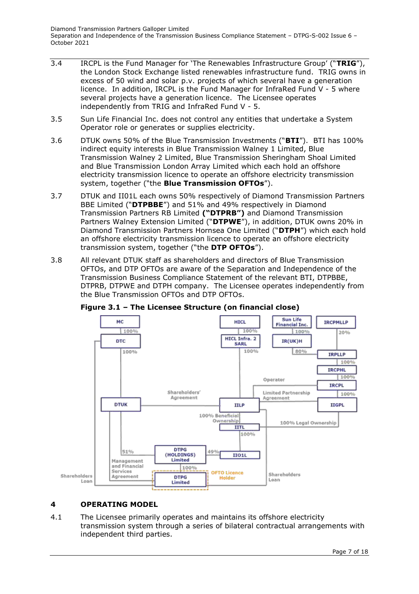- 3.4 IRCPL is the Fund Manager for 'The Renewables Infrastructure Group' ("**TRIG**"), the London Stock Exchange listed renewables infrastructure fund. TRIG owns in excess of 50 wind and solar p.v. projects of which several have a generation licence. In addition, IRCPL is the Fund Manager for InfraRed Fund V - 5 where several projects have a generation licence. The Licensee operates independently from TRIG and InfraRed Fund V - 5.
- 3.5 Sun Life Financial Inc. does not control any entities that undertake a System Operator role or generates or supplies electricity.
- 3.6 DTUK owns 50% of the Blue Transmission Investments ("**BTI**"). BTI has 100% indirect equity interests in Blue Transmission Walney 1 Limited, Blue Transmission Walney 2 Limited, Blue Transmission Sheringham Shoal Limited and Blue Transmission London Array Limited which each hold an offshore electricity transmission licence to operate an offshore electricity transmission system, together ("the **Blue Transmission OFTOs**").
- 3.7 DTUK and II01L each owns 50% respectively of Diamond Transmission Partners BBE Limited ("**DTPBBE**") and 51% and 49% respectively in Diamond Transmission Partners RB Limited **("DTPRB")** and Diamond Transmission Partners Walney Extension Limited ("**DTPWE**"), in addition, DTUK owns 20% in Diamond Transmission Partners Hornsea One Limited ("**DTPH**") which each hold an offshore electricity transmission licence to operate an offshore electricity transmission system, together ("the **DTP OFTOs**").
- 3.8 All relevant DTUK staff as shareholders and directors of Blue Transmission OFTOs, and DTP OFTOs are aware of the Separation and Independence of the Transmission Business Compliance Statement of the relevant BTI, DTPBBE, DTPRB, DTPWE and DTPH company. The Licensee operates independently from the Blue Transmission OFTOs and DTP OFTOs.



**Figure 3.1 – The Licensee Structure (on financial close)**

# <span id="page-6-0"></span>**4 OPERATING MODEL**

4.1 The Licensee primarily operates and maintains its offshore electricity transmission system through a series of bilateral contractual arrangements with independent third parties.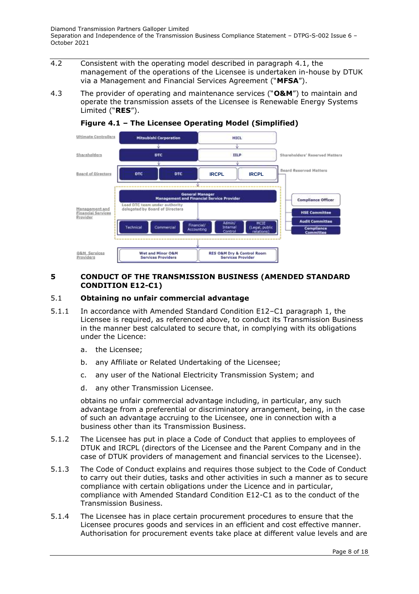- 4.2 Consistent with the operating model described in paragraph 4.1, the management of the operations of the Licensee is undertaken in-house by DTUK via a Management and Financial Services Agreement ("**MFSA**").
- 4.3 The provider of operating and maintenance services ("**O&M**") to maintain and operate the transmission assets of the Licensee is Renewable Energy Systems Limited ("**RES**").



## **Figure 4.1 – The Licensee Operating Model (Simplified)**

## <span id="page-7-0"></span>**5 CONDUCT OF THE TRANSMISSION BUSINESS (AMENDED STANDARD CONDITION E12-C1)**

#### 5.1 **Obtaining no unfair commercial advantage**

- 5.1.1 In accordance with Amended Standard Condition E12–C1 paragraph 1, the Licensee is required, as referenced above, to conduct its Transmission Business in the manner best calculated to secure that, in complying with its obligations under the Licence:
	- a. the Licensee;
	- b. any Affiliate or Related Undertaking of the Licensee;
	- c. any user of the National Electricity Transmission System; and
	- d. any other Transmission Licensee.

obtains no unfair commercial advantage including, in particular, any such advantage from a preferential or discriminatory arrangement, being, in the case of such an advantage accruing to the Licensee, one in connection with a business other than its Transmission Business.

- 5.1.2 The Licensee has put in place a Code of Conduct that applies to employees of DTUK and IRCPL (directors of the Licensee and the Parent Company and in the case of DTUK providers of management and financial services to the Licensee).
- 5.1.3 The Code of Conduct explains and requires those subject to the Code of Conduct to carry out their duties, tasks and other activities in such a manner as to secure compliance with certain obligations under the Licence and in particular, compliance with Amended Standard Condition E12-C1 as to the conduct of the Transmission Business.
- 5.1.4 The Licensee has in place certain procurement procedures to ensure that the Licensee procures goods and services in an efficient and cost effective manner. Authorisation for procurement events take place at different value levels and are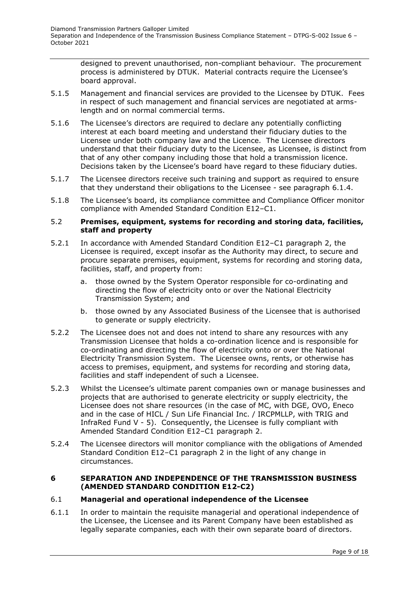designed to prevent unauthorised, non-compliant behaviour. The procurement process is administered by DTUK. Material contracts require the Licensee's board approval.

- 5.1.5 Management and financial services are provided to the Licensee by DTUK. Fees in respect of such management and financial services are negotiated at armslength and on normal commercial terms.
- 5.1.6 The Licensee's directors are required to declare any potentially conflicting interest at each board meeting and understand their fiduciary duties to the Licensee under both company law and the Licence. The Licensee directors understand that their fiduciary duty to the Licensee, as Licensee, is distinct from that of any other company including those that hold a transmission licence. Decisions taken by the Licensee's board have regard to these fiduciary duties.
- 5.1.7 The Licensee directors receive such training and support as required to ensure that they understand their obligations to the Licensee - see paragraph 6.1.4.
- 5.1.8 The Licensee's board, its compliance committee and Compliance Officer monitor compliance with Amended Standard Condition E12–C1.

#### 5.2 **Premises, equipment, systems for recording and storing data, facilities, staff and property**

- 5.2.1 In accordance with Amended Standard Condition E12–C1 paragraph 2, the Licensee is required, except insofar as the Authority may direct, to secure and procure separate premises, equipment, systems for recording and storing data, facilities, staff, and property from:
	- a. those owned by the System Operator responsible for co-ordinating and directing the flow of electricity onto or over the National Electricity Transmission System; and
	- b. those owned by any Associated Business of the Licensee that is authorised to generate or supply electricity.
- 5.2.2 The Licensee does not and does not intend to share any resources with any Transmission Licensee that holds a co-ordination licence and is responsible for co-ordinating and directing the flow of electricity onto or over the National Electricity Transmission System. The Licensee owns, rents, or otherwise has access to premises, equipment, and systems for recording and storing data, facilities and staff independent of such a Licensee.
- 5.2.3 Whilst the Licensee's ultimate parent companies own or manage businesses and projects that are authorised to generate electricity or supply electricity, the Licensee does not share resources (in the case of MC, with DGE, OVO, Eneco and in the case of HICL / Sun Life Financial Inc. / IRCPMLLP, with TRIG and InfraRed Fund V - 5). Consequently, the Licensee is fully compliant with Amended Standard Condition E12–C1 paragraph 2.
- 5.2.4 The Licensee directors will monitor compliance with the obligations of Amended Standard Condition E12–C1 paragraph 2 in the light of any change in circumstances.

#### <span id="page-8-0"></span>**6 SEPARATION AND INDEPENDENCE OF THE TRANSMISSION BUSINESS (AMENDED STANDARD CONDITION E12-C2)**

## 6.1 **Managerial and operational independence of the Licensee**

6.1.1 In order to maintain the requisite managerial and operational independence of the Licensee, the Licensee and its Parent Company have been established as legally separate companies, each with their own separate board of directors.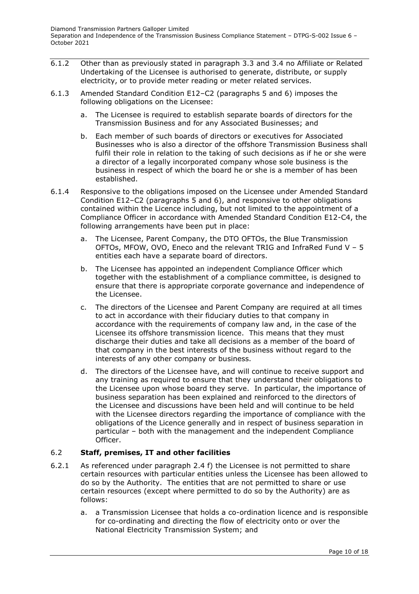- 6.1.2 Other than as previously stated in paragraph 3.3 and 3.4 no Affiliate or Related Undertaking of the Licensee is authorised to generate, distribute, or supply electricity, or to provide meter reading or meter related services.
- 6.1.3 Amended Standard Condition E12–C2 (paragraphs 5 and 6) imposes the following obligations on the Licensee:
	- a. The Licensee is required to establish separate boards of directors for the Transmission Business and for any Associated Businesses; and
	- b. Each member of such boards of directors or executives for Associated Businesses who is also a director of the offshore Transmission Business shall fulfil their role in relation to the taking of such decisions as if he or she were a director of a legally incorporated company whose sole business is the business in respect of which the board he or she is a member of has been established.
- 6.1.4 Responsive to the obligations imposed on the Licensee under Amended Standard Condition E12–C2 (paragraphs 5 and 6), and responsive to other obligations contained within the Licence including, but not limited to the appointment of a Compliance Officer in accordance with Amended Standard Condition E12-C4, the following arrangements have been put in place:
	- a. The Licensee, Parent Company, the DTO OFTOs, the Blue Transmission OFTOs, MFOW, OVO, Eneco and the relevant TRIG and InfraRed Fund V – 5 entities each have a separate board of directors.
	- b. The Licensee has appointed an independent Compliance Officer which together with the establishment of a compliance committee, is designed to ensure that there is appropriate corporate governance and independence of the Licensee.
	- c. The directors of the Licensee and Parent Company are required at all times to act in accordance with their fiduciary duties to that company in accordance with the requirements of company law and, in the case of the Licensee its offshore transmission licence. This means that they must discharge their duties and take all decisions as a member of the board of that company in the best interests of the business without regard to the interests of any other company or business.
	- d. The directors of the Licensee have, and will continue to receive support and any training as required to ensure that they understand their obligations to the Licensee upon whose board they serve. In particular, the importance of business separation has been explained and reinforced to the directors of the Licensee and discussions have been held and will continue to be held with the Licensee directors regarding the importance of compliance with the obligations of the Licence generally and in respect of business separation in particular – both with the management and the independent Compliance Officer.

# 6.2 **Staff, premises, IT and other facilities**

- 6.2.1 As referenced under paragraph 2.4 f) the Licensee is not permitted to share certain resources with particular entities unless the Licensee has been allowed to do so by the Authority. The entities that are not permitted to share or use certain resources (except where permitted to do so by the Authority) are as follows:
	- a. a Transmission Licensee that holds a co-ordination licence and is responsible for co-ordinating and directing the flow of electricity onto or over the National Electricity Transmission System; and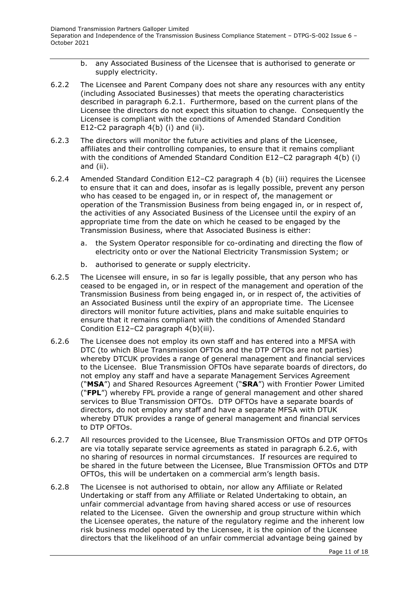- b. any Associated Business of the Licensee that is authorised to generate or supply electricity.
- 6.2.2 The Licensee and Parent Company does not share any resources with any entity (including Associated Businesses) that meets the operating characteristics described in paragraph 6.2.1. Furthermore, based on the current plans of the Licensee the directors do not expect this situation to change. Consequently the Licensee is compliant with the conditions of Amended Standard Condition E12-C2 paragraph 4(b) (i) and (ii).
- 6.2.3 The directors will monitor the future activities and plans of the Licensee, affiliates and their controlling companies, to ensure that it remains compliant with the conditions of Amended Standard Condition E12–C2 paragraph 4(b) (i) and (ii).
- 6.2.4 Amended Standard Condition E12–C2 paragraph 4 (b) (iii) requires the Licensee to ensure that it can and does, insofar as is legally possible, prevent any person who has ceased to be engaged in, or in respect of, the management or operation of the Transmission Business from being engaged in, or in respect of, the activities of any Associated Business of the Licensee until the expiry of an appropriate time from the date on which he ceased to be engaged by the Transmission Business, where that Associated Business is either:
	- a. the System Operator responsible for co-ordinating and directing the flow of electricity onto or over the National Electricity Transmission System; or
	- b. authorised to generate or supply electricity.
- 6.2.5 The Licensee will ensure, in so far is legally possible, that any person who has ceased to be engaged in, or in respect of the management and operation of the Transmission Business from being engaged in, or in respect of, the activities of an Associated Business until the expiry of an appropriate time. The Licensee directors will monitor future activities, plans and make suitable enquiries to ensure that it remains compliant with the conditions of Amended Standard Condition E12–C2 paragraph 4(b)(iii).
- 6.2.6 The Licensee does not employ its own staff and has entered into a MFSA with DTC (to which Blue Transmission OFTOs and the DTP OFTOs are not parties) whereby DTCUK provides a range of general management and financial services to the Licensee. Blue Transmission OFTOs have separate boards of directors, do not employ any staff and have a separate Management Services Agreement ("**MSA**") and Shared Resources Agreement ("**SRA**") with Frontier Power Limited ("**FPL**") whereby FPL provide a range of general management and other shared services to Blue Transmission OFTOs. DTP OFTOs have a separate boards of directors, do not employ any staff and have a separate MFSA with DTUK whereby DTUK provides a range of general management and financial services to DTP OFTOs.
- 6.2.7 All resources provided to the Licensee, Blue Transmission OFTOs and DTP OFTOs are via totally separate service agreements as stated in paragraph 6.2.6, with no sharing of resources in normal circumstances. If resources are required to be shared in the future between the Licensee, Blue Transmission OFTOs and DTP OFTOs, this will be undertaken on a commercial arm's length basis.
- 6.2.8 The Licensee is not authorised to obtain, nor allow any Affiliate or Related Undertaking or staff from any Affiliate or Related Undertaking to obtain, an unfair commercial advantage from having shared access or use of resources related to the Licensee. Given the ownership and group structure within which the Licensee operates, the nature of the regulatory regime and the inherent low risk business model operated by the Licensee, it is the opinion of the Licensee directors that the likelihood of an unfair commercial advantage being gained by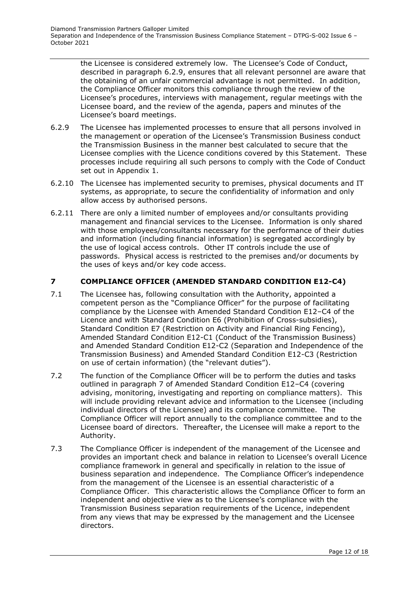the Licensee is considered extremely low. The Licensee's Code of Conduct, described in paragraph 6.2.9, ensures that all relevant personnel are aware that the obtaining of an unfair commercial advantage is not permitted. In addition, the Compliance Officer monitors this compliance through the review of the Licensee's procedures, interviews with management, regular meetings with the Licensee board, and the review of the agenda, papers and minutes of the Licensee's board meetings.

- 6.2.9 The Licensee has implemented processes to ensure that all persons involved in the management or operation of the Licensee's Transmission Business conduct the Transmission Business in the manner best calculated to secure that the Licensee complies with the Licence conditions covered by this Statement. These processes include requiring all such persons to comply with the Code of Conduct set out in Appendix 1.
- 6.2.10 The Licensee has implemented security to premises, physical documents and IT systems, as appropriate, to secure the confidentiality of information and only allow access by authorised persons.
- 6.2.11 There are only a limited number of employees and/or consultants providing management and financial services to the Licensee. Information is only shared with those employees/consultants necessary for the performance of their duties and information (including financial information) is segregated accordingly by the use of logical access controls. Other IT controls include the use of passwords. Physical access is restricted to the premises and/or documents by the uses of keys and/or key code access.

## <span id="page-11-0"></span>**7 COMPLIANCE OFFICER (AMENDED STANDARD CONDITION E12-C4)**

- 7.1 The Licensee has, following consultation with the Authority, appointed a competent person as the "Compliance Officer" for the purpose of facilitating compliance by the Licensee with Amended Standard Condition E12–C4 of the Licence and with Standard Condition E6 (Prohibition of Cross-subsidies), Standard Condition E7 (Restriction on Activity and Financial Ring Fencing), Amended Standard Condition E12-C1 (Conduct of the Transmission Business) and Amended Standard Condition E12-C2 (Separation and Independence of the Transmission Business) and Amended Standard Condition E12-C3 (Restriction on use of certain information) (the "relevant duties").
- 7.2 The function of the Compliance Officer will be to perform the duties and tasks outlined in paragraph 7 of Amended Standard Condition E12–C4 (covering advising, monitoring, investigating and reporting on compliance matters). This will include providing relevant advice and information to the Licensee (including individual directors of the Licensee) and its compliance committee. The Compliance Officer will report annually to the compliance committee and to the Licensee board of directors. Thereafter, the Licensee will make a report to the Authority.
- 7.3 The Compliance Officer is independent of the management of the Licensee and provides an important check and balance in relation to Licensee's overall Licence compliance framework in general and specifically in relation to the issue of business separation and independence. The Compliance Officer's independence from the management of the Licensee is an essential characteristic of a Compliance Officer. This characteristic allows the Compliance Officer to form an independent and objective view as to the Licensee's compliance with the Transmission Business separation requirements of the Licence, independent from any views that may be expressed by the management and the Licensee directors.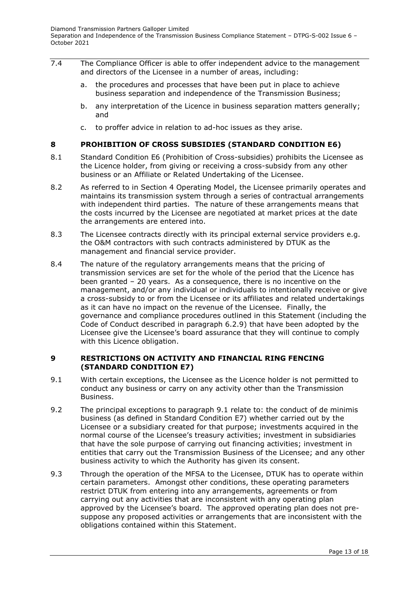- 7.4 The Compliance Officer is able to offer independent advice to the management and directors of the Licensee in a number of areas, including:
	- a. the procedures and processes that have been put in place to achieve business separation and independence of the Transmission Business;
	- b. any interpretation of the Licence in business separation matters generally; and
	- c. to proffer advice in relation to ad-hoc issues as they arise.

## <span id="page-12-0"></span>**8 PROHIBITION OF CROSS SUBSIDIES (STANDARD CONDITION E6)**

- 8.1 Standard Condition E6 (Prohibition of Cross-subsidies) prohibits the Licensee as the Licence holder, from giving or receiving a cross-subsidy from any other business or an Affiliate or Related Undertaking of the Licensee.
- 8.2 As referred to in Section 4 Operating Model, the Licensee primarily operates and maintains its transmission system through a series of contractual arrangements with independent third parties. The nature of these arrangements means that the costs incurred by the Licensee are negotiated at market prices at the date the arrangements are entered into.
- 8.3 The Licensee contracts directly with its principal external service providers e.g. the O&M contractors with such contracts administered by DTUK as the management and financial service provider.
- 8.4 The nature of the regulatory arrangements means that the pricing of transmission services are set for the whole of the period that the Licence has been granted – 20 years. As a consequence, there is no incentive on the management, and/or any individual or individuals to intentionally receive or give a cross-subsidy to or from the Licensee or its affiliates and related undertakings as it can have no impact on the revenue of the Licensee. Finally, the governance and compliance procedures outlined in this Statement (including the Code of Conduct described in paragraph 6.2.9) that have been adopted by the Licensee give the Licensee's board assurance that they will continue to comply with this Licence obligation.

#### <span id="page-12-1"></span>**9 RESTRICTIONS ON ACTIVITY AND FINANCIAL RING FENCING (STANDARD CONDITION E7)**

- 9.1 With certain exceptions, the Licensee as the Licence holder is not permitted to conduct any business or carry on any activity other than the Transmission Business.
- 9.2 The principal exceptions to paragraph 9.1 relate to: the conduct of de minimis business (as defined in Standard Condition E7) whether carried out by the Licensee or a subsidiary created for that purpose; investments acquired in the normal course of the Licensee's treasury activities; investment in subsidiaries that have the sole purpose of carrying out financing activities; investment in entities that carry out the Transmission Business of the Licensee; and any other business activity to which the Authority has given its consent.
- 9.3 Through the operation of the MFSA to the Licensee, DTUK has to operate within certain parameters. Amongst other conditions, these operating parameters restrict DTUK from entering into any arrangements, agreements or from carrying out any activities that are inconsistent with any operating plan approved by the Licensee's board. The approved operating plan does not presuppose any proposed activities or arrangements that are inconsistent with the obligations contained within this Statement.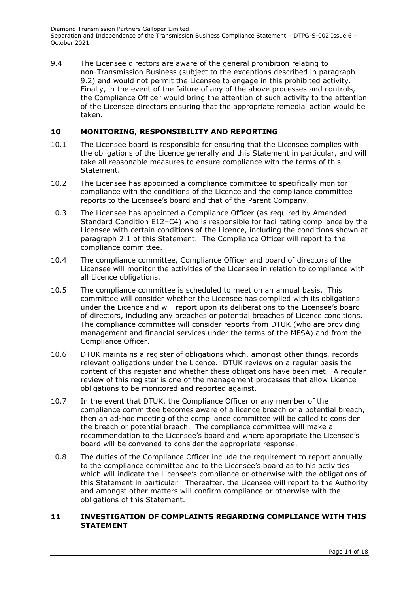9.4 The Licensee directors are aware of the general prohibition relating to non-Transmission Business (subject to the exceptions described in paragraph 9.2) and would not permit the Licensee to engage in this prohibited activity. Finally, in the event of the failure of any of the above processes and controls, the Compliance Officer would bring the attention of such activity to the attention of the Licensee directors ensuring that the appropriate remedial action would be taken.

#### <span id="page-13-0"></span>**10 MONITORING, RESPONSIBILITY AND REPORTING**

- 10.1 The Licensee board is responsible for ensuring that the Licensee complies with the obligations of the Licence generally and this Statement in particular, and will take all reasonable measures to ensure compliance with the terms of this Statement.
- 10.2 The Licensee has appointed a compliance committee to specifically monitor compliance with the conditions of the Licence and the compliance committee reports to the Licensee's board and that of the Parent Company.
- 10.3 The Licensee has appointed a Compliance Officer (as required by Amended Standard Condition E12–C4) who is responsible for facilitating compliance by the Licensee with certain conditions of the Licence, including the conditions shown at paragraph 2.1 of this Statement. The Compliance Officer will report to the compliance committee.
- 10.4 The compliance committee, Compliance Officer and board of directors of the Licensee will monitor the activities of the Licensee in relation to compliance with all Licence obligations.
- 10.5 The compliance committee is scheduled to meet on an annual basis. This committee will consider whether the Licensee has complied with its obligations under the Licence and will report upon its deliberations to the Licensee's board of directors, including any breaches or potential breaches of Licence conditions. The compliance committee will consider reports from DTUK (who are providing management and financial services under the terms of the MFSA) and from the Compliance Officer.
- 10.6 DTUK maintains a register of obligations which, amongst other things, records relevant obligations under the Licence. DTUK reviews on a regular basis the content of this register and whether these obligations have been met. A regular review of this register is one of the management processes that allow Licence obligations to be monitored and reported against.
- 10.7 In the event that DTUK, the Compliance Officer or any member of the compliance committee becomes aware of a licence breach or a potential breach, then an ad-hoc meeting of the compliance committee will be called to consider the breach or potential breach. The compliance committee will make a recommendation to the Licensee's board and where appropriate the Licensee's board will be convened to consider the appropriate response.
- 10.8 The duties of the Compliance Officer include the requirement to report annually to the compliance committee and to the Licensee's board as to his activities which will indicate the Licensee's compliance or otherwise with the obligations of this Statement in particular. Thereafter, the Licensee will report to the Authority and amongst other matters will confirm compliance or otherwise with the obligations of this Statement.

#### <span id="page-13-1"></span>**11 INVESTIGATION OF COMPLAINTS REGARDING COMPLIANCE WITH THIS STATEMENT**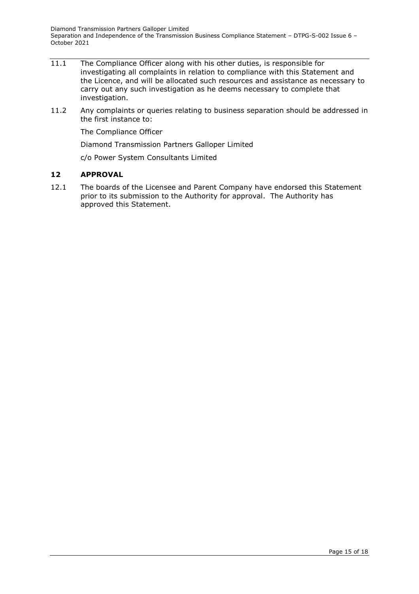- 11.1 The Compliance Officer along with his other duties, is responsible for investigating all complaints in relation to compliance with this Statement and the Licence, and will be allocated such resources and assistance as necessary to carry out any such investigation as he deems necessary to complete that investigation.
- 11.2 Any complaints or queries relating to business separation should be addressed in the first instance to:

The Compliance Officer

Diamond Transmission Partners Galloper Limited

c/o Power System Consultants Limited

#### <span id="page-14-0"></span>**12 APPROVAL**

12.1 The boards of the Licensee and Parent Company have endorsed this Statement prior to its submission to the Authority for approval. The Authority has approved this Statement.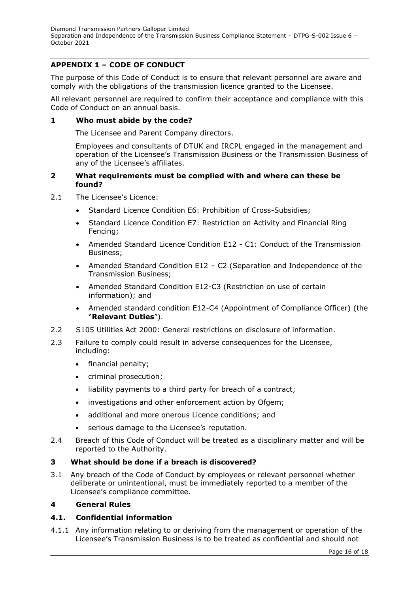# <span id="page-15-0"></span>**APPENDIX 1 – CODE OF CONDUCT**

The purpose of this Code of Conduct is to ensure that relevant personnel are aware and comply with the obligations of the transmission licence granted to the Licensee.

All relevant personnel are required to confirm their acceptance and compliance with this Code of Conduct on an annual basis.

#### **1 Who must abide by the code?**

The Licensee and Parent Company directors.

Employees and consultants of DTUK and IRCPL engaged in the management and operation of the Licensee's Transmission Business or the Transmission Business of any of the Licensee's affiliates.

#### **2 What requirements must be complied with and where can these be found?**

- 2.1 The Licensee's Licence:
	- Standard Licence Condition E6: Prohibition of Cross-Subsidies;
	- Standard Licence Condition E7: Restriction on Activity and Financial Ring Fencing;
	- Amended Standard Licence Condition E12 C1: Conduct of the Transmission Business;
	- Amended Standard Condition E12 C2 (Separation and Independence of the Transmission Business;
	- Amended Standard Condition E12-C3 (Restriction on use of certain information); and
	- Amended standard condition E12-C4 (Appointment of Compliance Officer) (the "**Relevant Duties**").
- 2.2 S105 Utilities Act 2000: General restrictions on disclosure of information.
- 2.3 Failure to comply could result in adverse consequences for the Licensee, including:
	- financial penalty;
	- criminal prosecution;
	- liability payments to a third party for breach of a contract;
	- investigations and other enforcement action by Ofgem;
	- additional and more onerous Licence conditions; and
	- serious damage to the Licensee's reputation.
- 2.4 Breach of this Code of Conduct will be treated as a disciplinary matter and will be reported to the Authority.

#### **3 What should be done if a breach is discovered?**

3.1 Any breach of the Code of Conduct by employees or relevant personnel whether deliberate or unintentional, must be immediately reported to a member of the Licensee's compliance committee.

#### **4 General Rules**

## **4.1. Confidential information**

4.1.1 Any information relating to or deriving from the management or operation of the Licensee's Transmission Business is to be treated as confidential and should not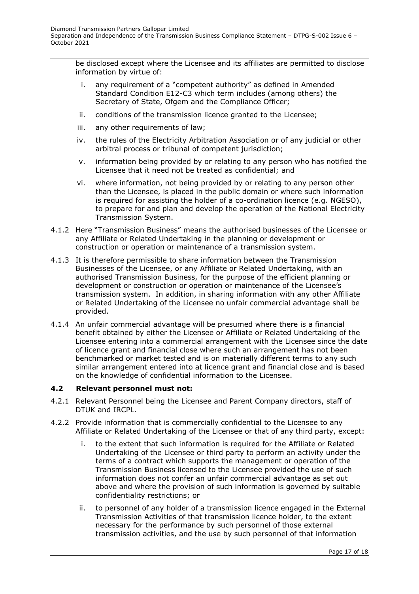be disclosed except where the Licensee and its affiliates are permitted to disclose information by virtue of:

- i. any requirement of a "competent authority" as defined in Amended Standard Condition E12-C3 which term includes (among others) the Secretary of State, Ofgem and the Compliance Officer;
- ii. conditions of the transmission licence granted to the Licensee;
- iii. any other requirements of law;
- iv. the rules of the Electricity Arbitration Association or of any judicial or other arbitral process or tribunal of competent jurisdiction;
- v. information being provided by or relating to any person who has notified the Licensee that it need not be treated as confidential; and
- vi. where information, not being provided by or relating to any person other than the Licensee, is placed in the public domain or where such information is required for assisting the holder of a co-ordination licence (e.g. NGESO), to prepare for and plan and develop the operation of the National Electricity Transmission System.
- 4.1.2 Here "Transmission Business" means the authorised businesses of the Licensee or any Affiliate or Related Undertaking in the planning or development or construction or operation or maintenance of a transmission system.
- 4.1.3 It is therefore permissible to share information between the Transmission Businesses of the Licensee, or any Affiliate or Related Undertaking, with an authorised Transmission Business, for the purpose of the efficient planning or development or construction or operation or maintenance of the Licensee's transmission system. In addition, in sharing information with any other Affiliate or Related Undertaking of the Licensee no unfair commercial advantage shall be provided.
- 4.1.4 An unfair commercial advantage will be presumed where there is a financial benefit obtained by either the Licensee or Affiliate or Related Undertaking of the Licensee entering into a commercial arrangement with the Licensee since the date of licence grant and financial close where such an arrangement has not been benchmarked or market tested and is on materially different terms to any such similar arrangement entered into at licence grant and financial close and is based on the knowledge of confidential information to the Licensee.

# **4.2 Relevant personnel must not:**

- 4.2.1 Relevant Personnel being the Licensee and Parent Company directors, staff of DTUK and IRCPL.
- 4.2.2 Provide information that is commercially confidential to the Licensee to any Affiliate or Related Undertaking of the Licensee or that of any third party, except:
	- i. to the extent that such information is required for the Affiliate or Related Undertaking of the Licensee or third party to perform an activity under the terms of a contract which supports the management or operation of the Transmission Business licensed to the Licensee provided the use of such information does not confer an unfair commercial advantage as set out above and where the provision of such information is governed by suitable confidentiality restrictions; or
	- ii. to personnel of any holder of a transmission licence engaged in the External Transmission Activities of that transmission licence holder, to the extent necessary for the performance by such personnel of those external transmission activities, and the use by such personnel of that information